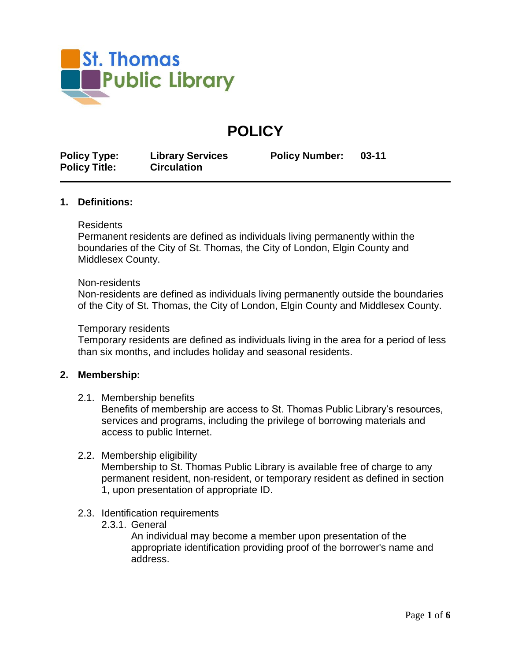

# **POLICY**

**Policy Type: Library Services Policy Number: 03-11 Policy Title: Circulation**

### **1. Definitions:**

#### Residents

Permanent residents are defined as individuals living permanently within the boundaries of the City of St. Thomas, the City of London, Elgin County and Middlesex County.

#### Non-residents

Non-residents are defined as individuals living permanently outside the boundaries of the City of St. Thomas, the City of London, Elgin County and Middlesex County.

#### Temporary residents

Temporary residents are defined as individuals living in the area for a period of less than six months, and includes holiday and seasonal residents.

### **2. Membership:**

2.1. Membership benefits

Benefits of membership are access to St. Thomas Public Library's resources, services and programs, including the privilege of borrowing materials and access to public Internet.

### 2.2. Membership eligibility

Membership to St. Thomas Public Library is available free of charge to any permanent resident, non-resident, or temporary resident as defined in section 1, upon presentation of appropriate ID.

- 2.3. Identification requirements
	- 2.3.1. General

An individual may become a member upon presentation of the appropriate identification providing proof of the borrower's name and address.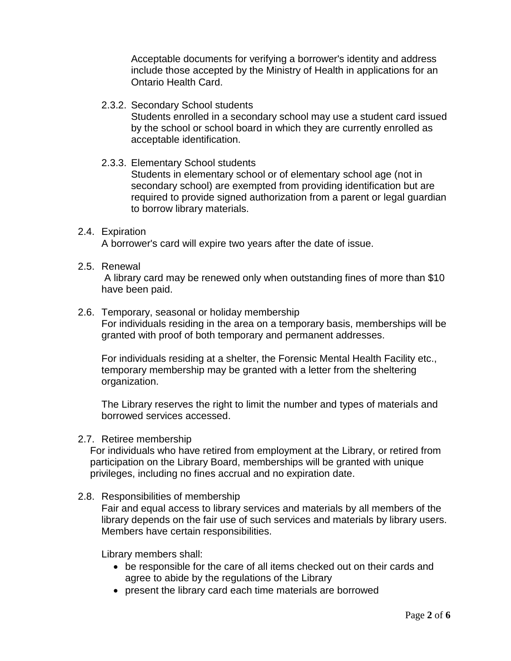Acceptable documents for verifying a borrower's identity and address include those accepted by the Ministry of Health in applications for an Ontario Health Card.

# 2.3.2. Secondary School students

Students enrolled in a secondary school may use a student card issued by the school or school board in which they are currently enrolled as acceptable identification.

# 2.3.3. Elementary School students

Students in elementary school or of elementary school age (not in secondary school) are exempted from providing identification but are required to provide signed authorization from a parent or legal guardian to borrow library materials.

# 2.4. Expiration

A borrower's card will expire two years after the date of issue.

# 2.5. Renewal

A library card may be renewed only when outstanding fines of more than \$10 have been paid.

### 2.6. Temporary, seasonal or holiday membership For individuals residing in the area on a temporary basis, memberships will be granted with proof of both temporary and permanent addresses.

For individuals residing at a shelter, the Forensic Mental Health Facility etc., temporary membership may be granted with a letter from the sheltering organization.

The Library reserves the right to limit the number and types of materials and borrowed services accessed.

# 2.7. Retiree membership

For individuals who have retired from employment at the Library, or retired from participation on the Library Board, memberships will be granted with unique privileges, including no fines accrual and no expiration date.

# 2.8. Responsibilities of membership

Fair and equal access to library services and materials by all members of the library depends on the fair use of such services and materials by library users. Members have certain responsibilities.

Library members shall:

- be responsible for the care of all items checked out on their cards and agree to abide by the regulations of the Library
- present the library card each time materials are borrowed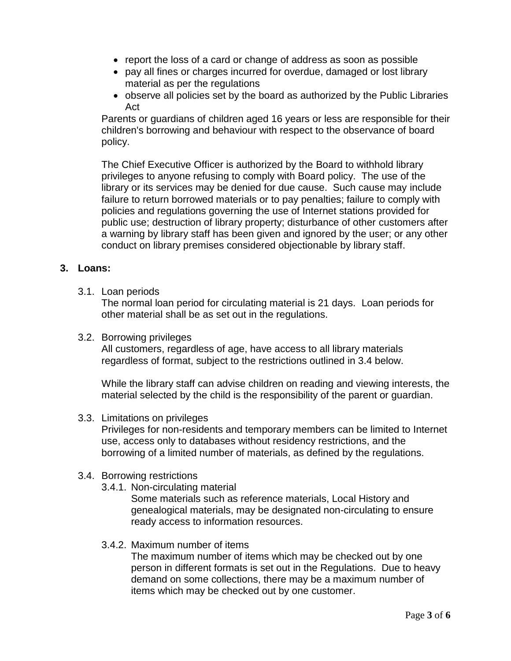- report the loss of a card or change of address as soon as possible
- pay all fines or charges incurred for overdue, damaged or lost library material as per the regulations
- observe all policies set by the board as authorized by the Public Libraries Act

Parents or guardians of children aged 16 years or less are responsible for their children's borrowing and behaviour with respect to the observance of board policy.

The Chief Executive Officer is authorized by the Board to withhold library privileges to anyone refusing to comply with Board policy. The use of the library or its services may be denied for due cause. Such cause may include failure to return borrowed materials or to pay penalties; failure to comply with policies and regulations governing the use of Internet stations provided for public use; destruction of library property; disturbance of other customers after a warning by library staff has been given and ignored by the user; or any other conduct on library premises considered objectionable by library staff.

# **3. Loans:**

3.1. Loan periods

The normal loan period for circulating material is 21 days. Loan periods for other material shall be as set out in the regulations.

3.2. Borrowing privileges

All customers, regardless of age, have access to all library materials regardless of format, subject to the restrictions outlined in 3.4 below.

While the library staff can advise children on reading and viewing interests, the material selected by the child is the responsibility of the parent or guardian.

3.3. Limitations on privileges

Privileges for non-residents and temporary members can be limited to Internet use, access only to databases without residency restrictions, and the borrowing of a limited number of materials, as defined by the regulations.

# 3.4. Borrowing restrictions

3.4.1. Non-circulating material

Some materials such as reference materials, Local History and genealogical materials, may be designated non-circulating to ensure ready access to information resources.

# 3.4.2. Maximum number of items

The maximum number of items which may be checked out by one person in different formats is set out in the Regulations. Due to heavy demand on some collections, there may be a maximum number of items which may be checked out by one customer.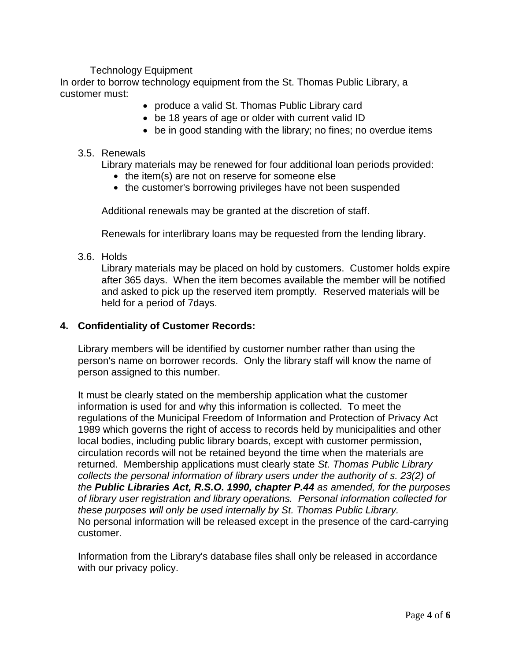# Technology Equipment

In order to borrow technology equipment from the St. Thomas Public Library, a customer must:

- produce a valid St. Thomas Public Library card
- be 18 years of age or older with current valid ID
- be in good standing with the library; no fines; no overdue items

### 3.5. Renewals

Library materials may be renewed for four additional loan periods provided:

- $\bullet$  the item(s) are not on reserve for someone else
- the customer's borrowing privileges have not been suspended

Additional renewals may be granted at the discretion of staff.

Renewals for interlibrary loans may be requested from the lending library.

3.6. Holds

Library materials may be placed on hold by customers. Customer holds expire after 365 days. When the item becomes available the member will be notified and asked to pick up the reserved item promptly. Reserved materials will be held for a period of 7days.

### **4. Confidentiality of Customer Records:**

Library members will be identified by customer number rather than using the person's name on borrower records. Only the library staff will know the name of person assigned to this number.

It must be clearly stated on the membership application what the customer information is used for and why this information is collected. To meet the regulations of the Municipal Freedom of Information and Protection of Privacy Act 1989 which governs the right of access to records held by municipalities and other local bodies, including public library boards, except with customer permission, circulation records will not be retained beyond the time when the materials are returned. Membership applications must clearly state *St. Thomas Public Library collects the personal information of library users under the authority of s. 23(2) of the Public Libraries Act, R.S.O. 1990, chapter P.44 as amended, for the purposes of library user registration and library operations. Personal information collected for these purposes will only be used internally by St. Thomas Public Library.* No personal information will be released except in the presence of the card-carrying customer.

Information from the Library's database files shall only be released in accordance with our privacy policy.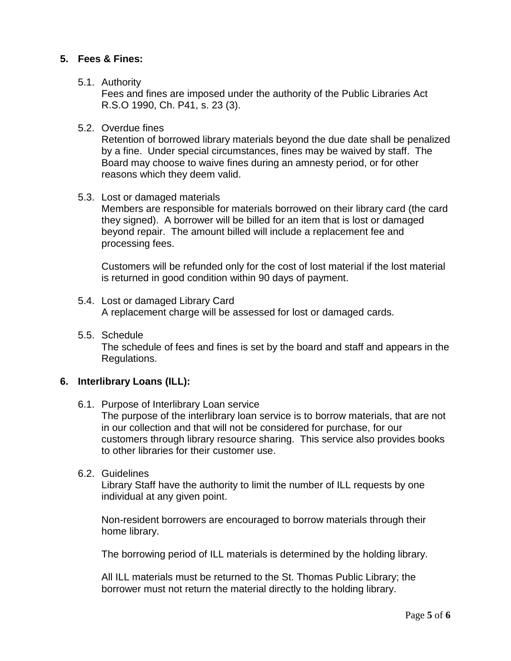# **5. Fees & Fines:**

### 5.1. Authority

Fees and fines are imposed under the authority of the Public Libraries Act R.S.O 1990, Ch. P41, s. 23 (3).

### 5.2. Overdue fines

Retention of borrowed library materials beyond the due date shall be penalized by a fine. Under special circumstances, fines may be waived by staff. The Board may choose to waive fines during an amnesty period, or for other reasons which they deem valid.

### 5.3. Lost or damaged materials

Members are responsible for materials borrowed on their library card (the card they signed). A borrower will be billed for an item that is lost or damaged beyond repair. The amount billed will include a replacement fee and processing fees.

Customers will be refunded only for the cost of lost material if the lost material is returned in good condition within 90 days of payment.

- 5.4. Lost or damaged Library Card A replacement charge will be assessed for lost or damaged cards.
- 5.5. Schedule The schedule of fees and fines is set by the board and staff and appears in the Regulations.

# **6. Interlibrary Loans (ILL):**

6.1. Purpose of Interlibrary Loan service

The purpose of the interlibrary loan service is to borrow materials, that are not in our collection and that will not be considered for purchase, for our customers through library resource sharing. This service also provides books to other libraries for their customer use.

6.2. Guidelines

Library Staff have the authority to limit the number of ILL requests by one individual at any given point.

Non-resident borrowers are encouraged to borrow materials through their home library.

The borrowing period of ILL materials is determined by the holding library.

All ILL materials must be returned to the St. Thomas Public Library; the borrower must not return the material directly to the holding library.